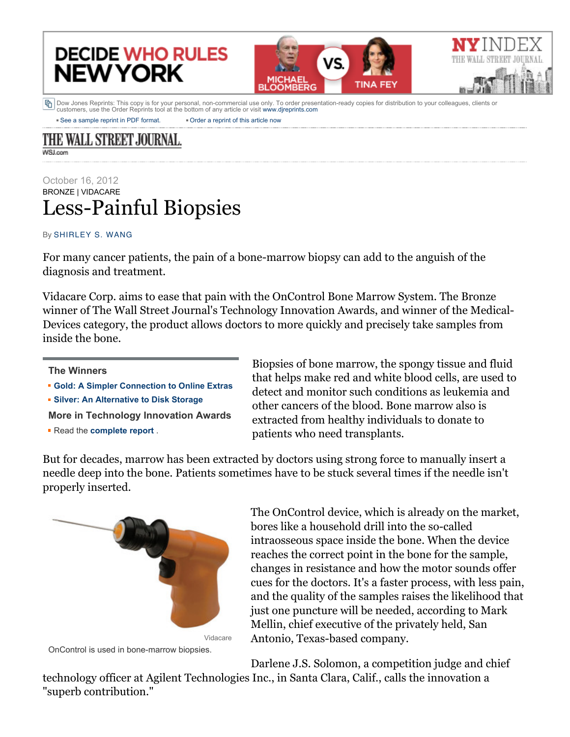## **DECIDE WHO RULES NEW YORK**



• [See a sample reprint in PDF format.](http://online.wsj.com/public/resources/documents/Reprint_Samples.pdf) • [Order a reprint of this article now](javascript:CopyrightPopUp();) h Dow Jones Reprints: This copy is for your personal, non-commercial use only. To order presentation-ready copies for distribution to your colleagues, clients or customers, use the Order Reprints tool at the bottom of any article or visit [www.djreprints.com](http://www.djreprints.com/)

THE WALL STREET JOURNAL. **WSJ.com** 

## October 16, 2012 BRONZE | VIDACARE Less-Painful Biopsies

## By [SHIRLEY S. WANG](http://online.wsj.com/search/term.html?KEYWORDS=SHIRLEY+S.+WANG&bylinesearch=true)

For many cancer patients, the pain of a bone-marrow biopsy can add to the anguish of the diagnosis and treatment.

Vidacare Corp. aims to ease that pain with the OnControl Bone Marrow System. The Bronze winner of The Wall Street Journal's Technology Innovation Awards, and winner of the Medical-Devices category, the product allows doctors to more quickly and precisely take samples from inside the bone.

## **The Winners**

- **[Gold: A Simpler Connection to Online Extras](http://online.wsj.com/article/SB10000872396390444138104578032572263099096.html)**
- **[Silver: An Alternative to Disk Storage](http://online.wsj.com/article/SB10000872396390444138104578032572557387496.html)**

**More in Technology Innovation Awards**

Read the **[complete report](http://online.wsj.com/public/page/technology-innovation-awards-10162012.html)** .

Biopsies of bone marrow, the spongy tissue and fluid that helps make red and white blood cells, are used to detect and monitor such conditions as leukemia and other cancers of the blood. Bone marrow also is extracted from healthy individuals to donate to patients who need transplants.

But for decades, marrow has been extracted by doctors using strong force to manually insert a needle deep into the bone. Patients sometimes have to be stuck several times if the needle isn't properly inserted.





The OnControl device, which is already on the market, bores like a household drill into the so-called intraosseous space inside the bone. When the device reaches the correct point in the bone for the sample, changes in resistance and how the motor sounds offer cues for the doctors. It's a faster process, with less pain, and the quality of the samples raises the likelihood that just one puncture will be needed, according to Mark Mellin, chief executive of the privately held, San Antonio, Texas-based company.

Darlene J.S. Solomon, a competition judge and chief technology officer at Agilent Technologies Inc., in Santa Clara, Calif., calls the innovation a "superb contribution."